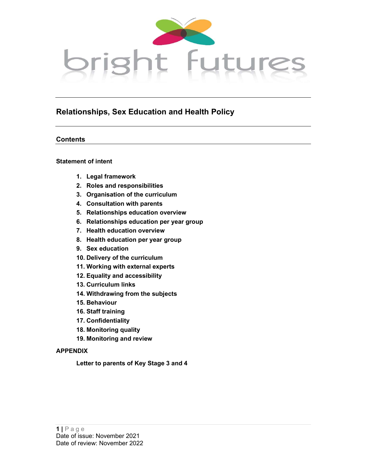

## Relationships, Sex Education and Health Policy

## **Contents**

## Statement of intent

- 1. Legal framework
- 2. Roles and responsibilities
- 3. Organisation of the curriculum
- 4. Consultation with parents
- 5. Relationships education overview
- 6. Relationships education per year group
- 7. Health education overview
- 8. Health education per year group
- 9. Sex education
- 10. Delivery of the curriculum
- 11. Working with external experts
- 12. Equality and accessibility
- 13. Curriculum links
- 14. Withdrawing from the subjects
- 15. Behaviour
- 16. Staff training
- 17. Confidentiality
- 18. Monitoring quality
- 19. Monitoring and review

## APPENDIX

Letter to parents of Key Stage 3 and 4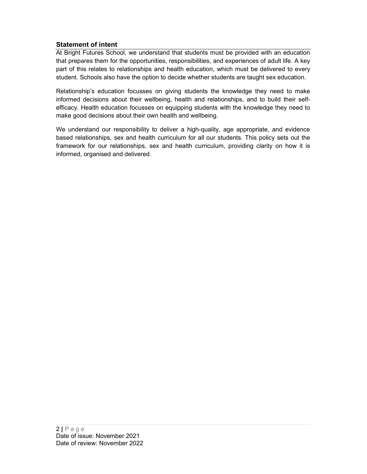## Statement of intent

At Bright Futures School, we understand that students must be provided with an education that prepares them for the opportunities, responsibilities, and experiences of adult life. A key part of this relates to relationships and health education, which must be delivered to every student. Schools also have the option to decide whether students are taught sex education.

Relationship's education focusses on giving students the knowledge they need to make informed decisions about their wellbeing, health and relationships, and to build their selfefficacy. Health education focusses on equipping students with the knowledge they need to make good decisions about their own health and wellbeing.

We understand our responsibility to deliver a high-quality, age appropriate, and evidence based relationships, sex and health curriculum for all our students. This policy sets out the framework for our relationships, sex and health curriculum, providing clarity on how it is informed, organised and delivered.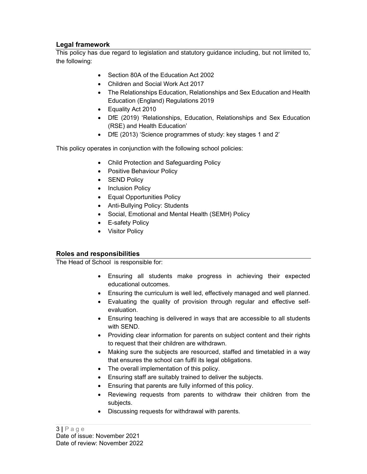## Legal framework

This policy has due regard to legislation and statutory guidance including, but not limited to, the following:

- Section 80A of the Education Act 2002
- Children and Social Work Act 2017
- The Relationships Education, Relationships and Sex Education and Health Education (England) Regulations 2019
- Equality Act 2010
- DfE (2019) 'Relationships, Education, Relationships and Sex Education (RSE) and Health Education'
- DfE (2013) 'Science programmes of study: key stages 1 and 2'

This policy operates in conjunction with the following school policies:

- Child Protection and Safeguarding Policy
- Positive Behaviour Policy
- SEND Policy
- Inclusion Policy
- Equal Opportunities Policy
- Anti-Bullying Policy: Students
- Social, Emotional and Mental Health (SEMH) Policy
- E-safety Policy
- Visitor Policy

## Roles and responsibilities

The Head of School is responsible for:

- Ensuring all students make progress in achieving their expected educational outcomes.
- Ensuring the curriculum is well led, effectively managed and well planned.
- Evaluating the quality of provision through regular and effective selfevaluation.
- Ensuring teaching is delivered in ways that are accessible to all students with SEND.
- Providing clear information for parents on subject content and their rights to request that their children are withdrawn.
- Making sure the subjects are resourced, staffed and timetabled in a way that ensures the school can fulfil its legal obligations.
- The overall implementation of this policy.
- Ensuring staff are suitably trained to deliver the subjects.
- Ensuring that parents are fully informed of this policy.
- Reviewing requests from parents to withdraw their children from the subjects.
- Discussing requests for withdrawal with parents.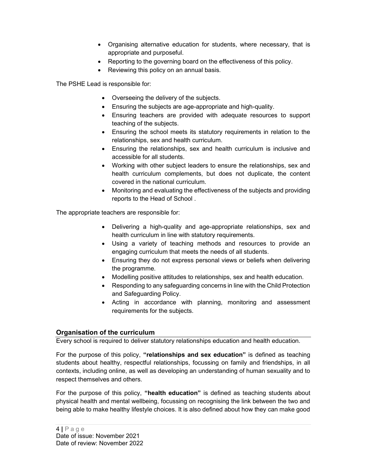- Organising alternative education for students, where necessary, that is appropriate and purposeful.
- Reporting to the governing board on the effectiveness of this policy.
- Reviewing this policy on an annual basis.

The PSHE Lead is responsible for:

- Overseeing the delivery of the subjects.
- Ensuring the subjects are age-appropriate and high-quality.
- Ensuring teachers are provided with adequate resources to support teaching of the subjects.
- Ensuring the school meets its statutory requirements in relation to the relationships, sex and health curriculum.
- Ensuring the relationships, sex and health curriculum is inclusive and accessible for all students.
- Working with other subject leaders to ensure the relationships, sex and health curriculum complements, but does not duplicate, the content covered in the national curriculum.
- Monitoring and evaluating the effectiveness of the subjects and providing reports to the Head of School .

The appropriate teachers are responsible for:

- Delivering a high-quality and age-appropriate relationships, sex and health curriculum in line with statutory requirements.
- Using a variety of teaching methods and resources to provide an engaging curriculum that meets the needs of all students.
- Ensuring they do not express personal views or beliefs when delivering the programme.
- Modelling positive attitudes to relationships, sex and health education.
- Responding to any safeguarding concerns in line with the Child Protection and Safeguarding Policy.
- Acting in accordance with planning, monitoring and assessment requirements for the subjects.

## Organisation of the curriculum

Every school is required to deliver statutory relationships education and health education.

For the purpose of this policy, "relationships and sex education" is defined as teaching students about healthy, respectful relationships, focussing on family and friendships, in all contexts, including online, as well as developing an understanding of human sexuality and to respect themselves and others.

For the purpose of this policy, "health education" is defined as teaching students about physical health and mental wellbeing, focussing on recognising the link between the two and being able to make healthy lifestyle choices. It is also defined about how they can make good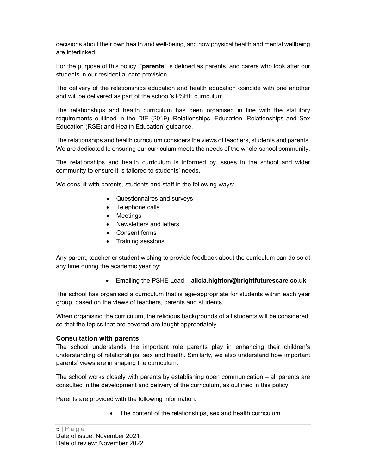decisions about their own health and well-being, and how physical health and mental wellbeing are interlinked.

For the purpose of this policy, "**parents**" is defined as parents, and carers who look after our students in our residential care provision.

The delivery of the relationships education and health education coincide with one another and will be delivered as part of the school's PSHE curriculum.

The relationships and health curriculum has been organised in line with the statutory requirements outlined in the DfE (2019) 'Relationships, Education, Relationships and Sex Education (RSE) and Health Education' guidance.

The relationships and health curriculum considers the views of teachers, students and parents. We are dedicated to ensuring our curriculum meets the needs of the whole-school community.

The relationships and health curriculum is informed by issues in the school and wider community to ensure it is tailored to students' needs.

We consult with parents, students and staff in the following ways:

- Questionnaires and surveys
- Telephone calls
- Meetings
- Newsletters and letters
- Consent forms
- Training sessions

Any parent, teacher or student wishing to provide feedback about the curriculum can do so at any time during the academic year by:

Emailing the PSHE Lead – alicia.highton@brightfuturescare.co.uk

The school has organised a curriculum that is age-appropriate for students within each year group, based on the views of teachers, parents and students.

When organising the curriculum, the religious backgrounds of all students will be considered, so that the topics that are covered are taught appropriately.

## Consultation with parents

The school understands the important role parents play in enhancing their children's understanding of relationships, sex and health. Similarly, we also understand how important parents' views are in shaping the curriculum.

The school works closely with parents by establishing open communication – all parents are consulted in the development and delivery of the curriculum, as outlined in this policy.

Parents are provided with the following information:

• The content of the relationships, sex and health curriculum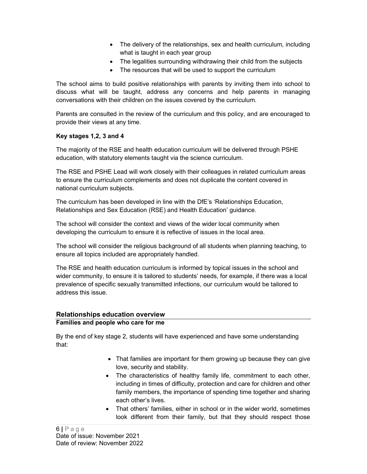- The delivery of the relationships, sex and health curriculum, including what is taught in each year group
- The legalities surrounding withdrawing their child from the subjects
- The resources that will be used to support the curriculum

The school aims to build positive relationships with parents by inviting them into school to discuss what will be taught, address any concerns and help parents in managing conversations with their children on the issues covered by the curriculum.

Parents are consulted in the review of the curriculum and this policy, and are encouraged to provide their views at any time.

## Key stages 1,2, 3 and 4

The majority of the RSE and health education curriculum will be delivered through PSHE education, with statutory elements taught via the science curriculum.

The RSE and PSHE Lead will work closely with their colleagues in related curriculum areas to ensure the curriculum complements and does not duplicate the content covered in national curriculum subjects.

The curriculum has been developed in line with the DfE's 'Relationships Education, Relationships and Sex Education (RSE) and Health Education' guidance.

The school will consider the context and views of the wider local community when developing the curriculum to ensure it is reflective of issues in the local area.

The school will consider the religious background of all students when planning teaching, to ensure all topics included are appropriately handled.

The RSE and health education curriculum is informed by topical issues in the school and wider community, to ensure it is tailored to students' needs, for example, if there was a local prevalence of specific sexually transmitted infections, our curriculum would be tailored to address this issue.

## Relationships education overview

## Families and people who care for me

By the end of key stage 2, students will have experienced and have some understanding that:

- That families are important for them growing up because they can give love, security and stability.
- The characteristics of healthy family life, commitment to each other, including in times of difficulty, protection and care for children and other family members, the importance of spending time together and sharing each other's lives.
- That others' families, either in school or in the wider world, sometimes look different from their family, but that they should respect those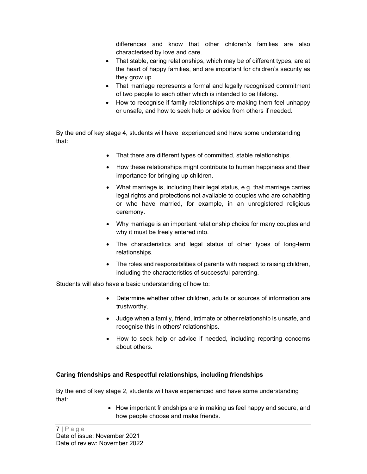differences and know that other children's families are also characterised by love and care.

- That stable, caring relationships, which may be of different types, are at the heart of happy families, and are important for children's security as they grow up.
- That marriage represents a formal and legally recognised commitment of two people to each other which is intended to be lifelong.
- How to recognise if family relationships are making them feel unhappy or unsafe, and how to seek help or advice from others if needed.

By the end of key stage 4, students will have experienced and have some understanding that:

- That there are different types of committed, stable relationships.
- How these relationships might contribute to human happiness and their importance for bringing up children.
- What marriage is, including their legal status, e.g. that marriage carries legal rights and protections not available to couples who are cohabiting or who have married, for example, in an unregistered religious ceremony.
- Why marriage is an important relationship choice for many couples and why it must be freely entered into.
- The characteristics and legal status of other types of long-term relationships.
- The roles and responsibilities of parents with respect to raising children, including the characteristics of successful parenting.

Students will also have a basic understanding of how to:

- Determine whether other children, adults or sources of information are trustworthy.
- Judge when a family, friend, intimate or other relationship is unsafe, and recognise this in others' relationships.
- How to seek help or advice if needed, including reporting concerns about others.

## Caring friendships and Respectful relationships, including friendships

By the end of key stage 2, students will have experienced and have some understanding that:

> • How important friendships are in making us feel happy and secure, and how people choose and make friends.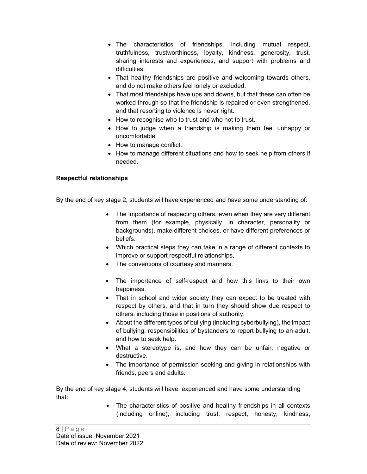- The characteristics of friendships, including mutual respect, truthfulness, trustworthiness, loyalty, kindness, generosity, trust, sharing interests and experiences, and support with problems and difficulties.
- That healthy friendships are positive and welcoming towards others, and do not make others feel lonely or excluded.
- That most friendships have ups and downs, but that these can often be worked through so that the friendship is repaired or even strengthened, and that resorting to violence is never right.
- How to recognise who to trust and who not to trust.
- How to judge when a friendship is making them feel unhappy or uncomfortable.
- How to manage conflict.
- How to manage different situations and how to seek help from others if needed.

## Respectful relationships

By the end of key stage 2, students will have experienced and have some understanding of:

- The importance of respecting others, even when they are very different from them (for example, physically, in character, personality or backgrounds), make different choices, or have different preferences or beliefs.
- Which practical steps they can take in a range of different contexts to improve or support respectful relationships.
- The conventions of courtesy and manners.
- The importance of self-respect and how this links to their own happiness.
- That in school and wider society they can expect to be treated with respect by others, and that in turn they should show due respect to others, including those in positions of authority.
- About the different types of bullying (including cyberbullying), the impact of bullying, responsibilities of bystanders to report bullying to an adult, and how to seek help.
- What a stereotype is, and how they can be unfair, negative or destructive.
- The importance of permission-seeking and giving in relationships with friends, peers and adults.

By the end of key stage 4, students will have experienced and have some understanding that:

> • The characteristics of positive and healthy friendships in all contexts (including online), including trust, respect, honesty, kindness,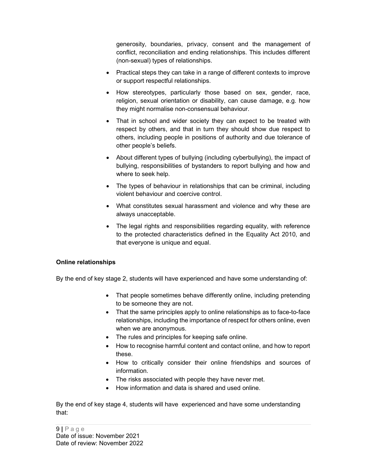generosity, boundaries, privacy, consent and the management of conflict, reconciliation and ending relationships. This includes different (non-sexual) types of relationships.

- Practical steps they can take in a range of different contexts to improve or support respectful relationships.
- How stereotypes, particularly those based on sex, gender, race, religion, sexual orientation or disability, can cause damage, e.g. how they might normalise non-consensual behaviour.
- That in school and wider society they can expect to be treated with respect by others, and that in turn they should show due respect to others, including people in positions of authority and due tolerance of other people's beliefs.
- About different types of bullying (including cyberbullying), the impact of bullying, responsibilities of bystanders to report bullying and how and where to seek help.
- The types of behaviour in relationships that can be criminal, including violent behaviour and coercive control.
- What constitutes sexual harassment and violence and why these are always unacceptable.
- The legal rights and responsibilities regarding equality, with reference to the protected characteristics defined in the Equality Act 2010, and that everyone is unique and equal.

## Online relationships

By the end of key stage 2, students will have experienced and have some understanding of:

- That people sometimes behave differently online, including pretending to be someone they are not.
- That the same principles apply to online relationships as to face-to-face relationships, including the importance of respect for others online, even when we are anonymous.
- The rules and principles for keeping safe online.
- How to recognise harmful content and contact online, and how to report these.
- How to critically consider their online friendships and sources of information.
- The risks associated with people they have never met.
- How information and data is shared and used online.

By the end of key stage 4, students will have experienced and have some understanding that: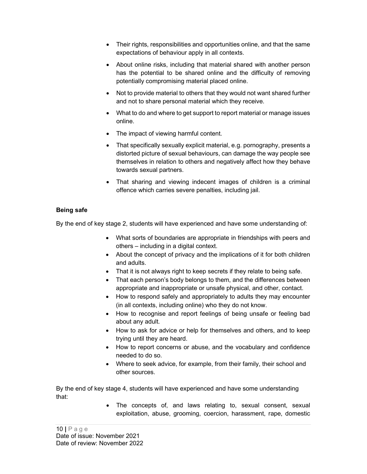- Their rights, responsibilities and opportunities online, and that the same expectations of behaviour apply in all contexts.
- About online risks, including that material shared with another person has the potential to be shared online and the difficulty of removing potentially compromising material placed online.
- Not to provide material to others that they would not want shared further and not to share personal material which they receive.
- What to do and where to get support to report material or manage issues online.
- The impact of viewing harmful content.
- That specifically sexually explicit material, e.g. pornography, presents a distorted picture of sexual behaviours, can damage the way people see themselves in relation to others and negatively affect how they behave towards sexual partners.
- That sharing and viewing indecent images of children is a criminal offence which carries severe penalties, including jail.

## Being safe

By the end of key stage 2, students will have experienced and have some understanding of:

- What sorts of boundaries are appropriate in friendships with peers and others – including in a digital context.
- About the concept of privacy and the implications of it for both children and adults.
- That it is not always right to keep secrets if they relate to being safe.
- That each person's body belongs to them, and the differences between appropriate and inappropriate or unsafe physical, and other, contact.
- How to respond safely and appropriately to adults they may encounter (in all contexts, including online) who they do not know.
- How to recognise and report feelings of being unsafe or feeling bad about any adult.
- How to ask for advice or help for themselves and others, and to keep trying until they are heard.
- How to report concerns or abuse, and the vocabulary and confidence needed to do so.
- Where to seek advice, for example, from their family, their school and other sources.

By the end of key stage 4, students will have experienced and have some understanding that:

> The concepts of, and laws relating to, sexual consent, sexual exploitation, abuse, grooming, coercion, harassment, rape, domestic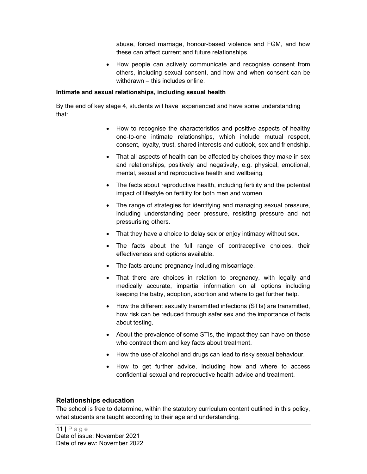abuse, forced marriage, honour-based violence and FGM, and how these can affect current and future relationships.

• How people can actively communicate and recognise consent from others, including sexual consent, and how and when consent can be withdrawn – this includes online.

#### Intimate and sexual relationships, including sexual health

By the end of key stage 4, students will have experienced and have some understanding that:

- How to recognise the characteristics and positive aspects of healthy one-to-one intimate relationships, which include mutual respect, consent, loyalty, trust, shared interests and outlook, sex and friendship.
- That all aspects of health can be affected by choices they make in sex and relationships, positively and negatively, e.g. physical, emotional, mental, sexual and reproductive health and wellbeing.
- The facts about reproductive health, including fertility and the potential impact of lifestyle on fertility for both men and women.
- The range of strategies for identifying and managing sexual pressure, including understanding peer pressure, resisting pressure and not pressurising others.
- That they have a choice to delay sex or enjoy intimacy without sex.
- The facts about the full range of contraceptive choices, their effectiveness and options available.
- The facts around pregnancy including miscarriage.
- That there are choices in relation to pregnancy, with legally and medically accurate, impartial information on all options including keeping the baby, adoption, abortion and where to get further help.
- How the different sexually transmitted infections (STIs) are transmitted, how risk can be reduced through safer sex and the importance of facts about testing.
- About the prevalence of some STIs, the impact they can have on those who contract them and key facts about treatment.
- How the use of alcohol and drugs can lead to risky sexual behaviour.
- How to get further advice, including how and where to access confidential sexual and reproductive health advice and treatment.

## Relationships education

The school is free to determine, within the statutory curriculum content outlined in this policy, what students are taught according to their age and understanding.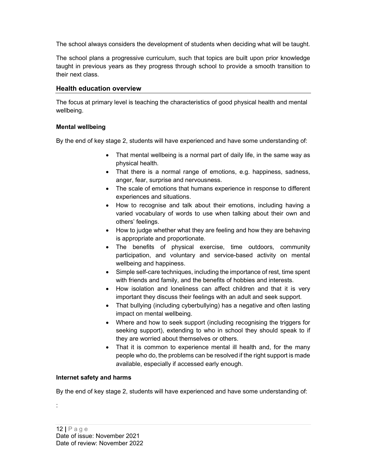The school always considers the development of students when deciding what will be taught.

The school plans a progressive curriculum, such that topics are built upon prior knowledge taught in previous years as they progress through school to provide a smooth transition to their next class.

### Health education overview

The focus at primary level is teaching the characteristics of good physical health and mental wellbeing.

#### Mental wellbeing

By the end of key stage 2, students will have experienced and have some understanding of:

- That mental wellbeing is a normal part of daily life, in the same way as physical health.
- That there is a normal range of emotions, e.g. happiness, sadness, anger, fear, surprise and nervousness.
- The scale of emotions that humans experience in response to different experiences and situations.
- How to recognise and talk about their emotions, including having a varied vocabulary of words to use when talking about their own and others' feelings.
- How to judge whether what they are feeling and how they are behaving is appropriate and proportionate.
- The benefits of physical exercise, time outdoors, community participation, and voluntary and service-based activity on mental wellbeing and happiness.
- Simple self-care techniques, including the importance of rest, time spent with friends and family, and the benefits of hobbies and interests.
- How isolation and loneliness can affect children and that it is very important they discuss their feelings with an adult and seek support.
- That bullying (including cyberbullying) has a negative and often lasting impact on mental wellbeing.
- Where and how to seek support (including recognising the triggers for seeking support), extending to who in school they should speak to if they are worried about themselves or others.
- That it is common to experience mental ill health and, for the many people who do, the problems can be resolved if the right support is made available, especially if accessed early enough.

#### Internet safety and harms

By the end of key stage 2, students will have experienced and have some understanding of: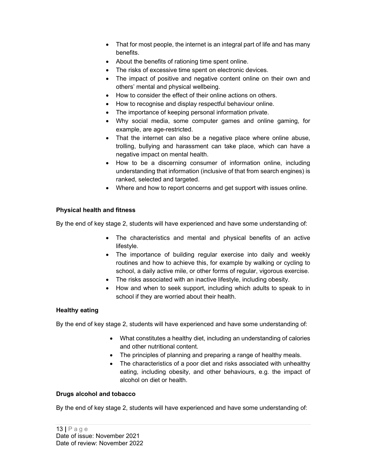- That for most people, the internet is an integral part of life and has many benefits.
- About the benefits of rationing time spent online.
- The risks of excessive time spent on electronic devices.
- The impact of positive and negative content online on their own and others' mental and physical wellbeing.
- How to consider the effect of their online actions on others.
- How to recognise and display respectful behaviour online.
- The importance of keeping personal information private.
- Why social media, some computer games and online gaming, for example, are age-restricted.
- That the internet can also be a negative place where online abuse, trolling, bullying and harassment can take place, which can have a negative impact on mental health.
- How to be a discerning consumer of information online, including understanding that information (inclusive of that from search engines) is ranked, selected and targeted.
- Where and how to report concerns and get support with issues online.

## Physical health and fitness

By the end of key stage 2, students will have experienced and have some understanding of:

- The characteristics and mental and physical benefits of an active lifestyle.
- The importance of building regular exercise into daily and weekly routines and how to achieve this, for example by walking or cycling to school, a daily active mile, or other forms of regular, vigorous exercise.
- The risks associated with an inactive lifestyle, including obesity.
- How and when to seek support, including which adults to speak to in school if they are worried about their health.

## Healthy eating

By the end of key stage 2, students will have experienced and have some understanding of:

- What constitutes a healthy diet, including an understanding of calories and other nutritional content.
- The principles of planning and preparing a range of healthy meals.
- The characteristics of a poor diet and risks associated with unhealthy eating, including obesity, and other behaviours, e.g. the impact of alcohol on diet or health.

## Drugs alcohol and tobacco

By the end of key stage 2, students will have experienced and have some understanding of: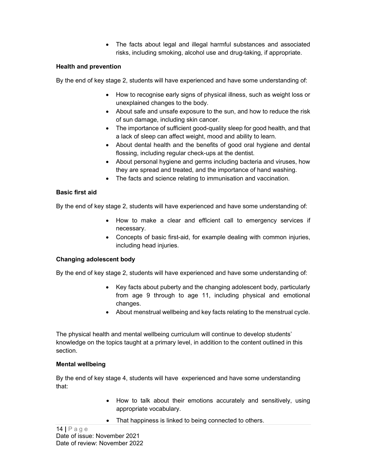• The facts about legal and illegal harmful substances and associated risks, including smoking, alcohol use and drug-taking, if appropriate.

#### Health and prevention

By the end of key stage 2, students will have experienced and have some understanding of:

- How to recognise early signs of physical illness, such as weight loss or unexplained changes to the body.
- About safe and unsafe exposure to the sun, and how to reduce the risk of sun damage, including skin cancer.
- The importance of sufficient good-quality sleep for good health, and that a lack of sleep can affect weight, mood and ability to learn.
- About dental health and the benefits of good oral hygiene and dental flossing, including regular check-ups at the dentist.
- About personal hygiene and germs including bacteria and viruses, how they are spread and treated, and the importance of hand washing.
- The facts and science relating to immunisation and vaccination.

## Basic first aid

By the end of key stage 2, students will have experienced and have some understanding of:

- How to make a clear and efficient call to emergency services if necessary.
- Concepts of basic first-aid, for example dealing with common injuries, including head injuries.

#### Changing adolescent body

By the end of key stage 2, students will have experienced and have some understanding of:

- Key facts about puberty and the changing adolescent body, particularly from age 9 through to age 11, including physical and emotional changes.
- About menstrual wellbeing and key facts relating to the menstrual cycle.

The physical health and mental wellbeing curriculum will continue to develop students' knowledge on the topics taught at a primary level, in addition to the content outlined in this section.

## Mental wellbeing

By the end of key stage 4, students will have experienced and have some understanding that:

- How to talk about their emotions accurately and sensitively, using appropriate vocabulary.
- That happiness is linked to being connected to others.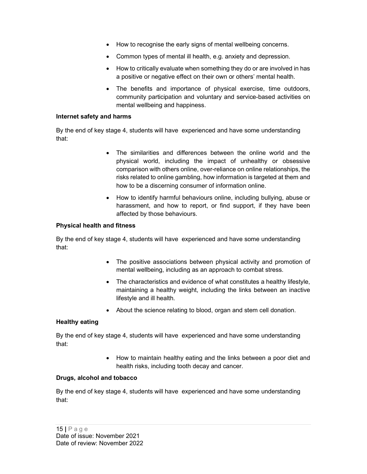- How to recognise the early signs of mental wellbeing concerns.
- Common types of mental ill health, e.g. anxiety and depression.
- How to critically evaluate when something they do or are involved in has a positive or negative effect on their own or others' mental health.
- The benefits and importance of physical exercise, time outdoors, community participation and voluntary and service-based activities on mental wellbeing and happiness.

#### Internet safety and harms

By the end of key stage 4, students will have experienced and have some understanding that:

- The similarities and differences between the online world and the physical world, including the impact of unhealthy or obsessive comparison with others online, over-reliance on online relationships, the risks related to online gambling, how information is targeted at them and how to be a discerning consumer of information online.
- How to identify harmful behaviours online, including bullying, abuse or harassment, and how to report, or find support, if they have been affected by those behaviours.

#### Physical health and fitness

By the end of key stage 4, students will have experienced and have some understanding that:

- The positive associations between physical activity and promotion of mental wellbeing, including as an approach to combat stress.
- The characteristics and evidence of what constitutes a healthy lifestyle, maintaining a healthy weight, including the links between an inactive lifestyle and ill health.
- About the science relating to blood, organ and stem cell donation.

#### Healthy eating

By the end of key stage 4, students will have experienced and have some understanding that:

> How to maintain healthy eating and the links between a poor diet and health risks, including tooth decay and cancer.

#### Drugs, alcohol and tobacco

By the end of key stage 4, students will have experienced and have some understanding that: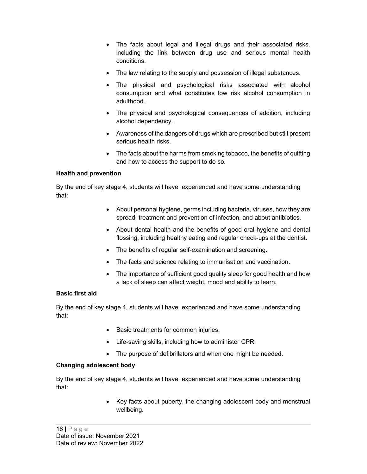- The facts about legal and illegal drugs and their associated risks, including the link between drug use and serious mental health conditions.
- The law relating to the supply and possession of illegal substances.
- The physical and psychological risks associated with alcohol consumption and what constitutes low risk alcohol consumption in adulthood.
- The physical and psychological consequences of addition, including alcohol dependency.
- Awareness of the dangers of drugs which are prescribed but still present serious health risks.
- The facts about the harms from smoking tobacco, the benefits of quitting and how to access the support to do so.

#### Health and prevention

By the end of key stage 4, students will have experienced and have some understanding that:

- About personal hygiene, germs including bacteria, viruses, how they are spread, treatment and prevention of infection, and about antibiotics.
- About dental health and the benefits of good oral hygiene and dental flossing, including healthy eating and regular check-ups at the dentist.
- The benefits of regular self-examination and screening.
- The facts and science relating to immunisation and vaccination.
- The importance of sufficient good quality sleep for good health and how a lack of sleep can affect weight, mood and ability to learn.

## Basic first aid

By the end of key stage 4, students will have experienced and have some understanding that:

- Basic treatments for common injuries.
- Life-saving skills, including how to administer CPR.
- The purpose of defibrillators and when one might be needed.

## Changing adolescent body

By the end of key stage 4, students will have experienced and have some understanding that:

> Key facts about puberty, the changing adolescent body and menstrual wellbeing.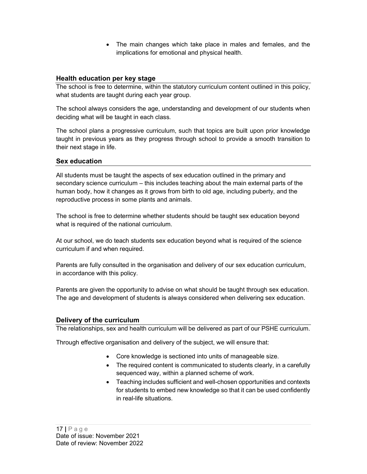The main changes which take place in males and females, and the implications for emotional and physical health.

## Health education per key stage

The school is free to determine, within the statutory curriculum content outlined in this policy, what students are taught during each year group.

The school always considers the age, understanding and development of our students when deciding what will be taught in each class.

The school plans a progressive curriculum, such that topics are built upon prior knowledge taught in previous years as they progress through school to provide a smooth transition to their next stage in life.

#### Sex education

All students must be taught the aspects of sex education outlined in the primary and secondary science curriculum – this includes teaching about the main external parts of the human body, how it changes as it grows from birth to old age, including puberty, and the reproductive process in some plants and animals.

The school is free to determine whether students should be taught sex education beyond what is required of the national curriculum.

At our school, we do teach students sex education beyond what is required of the science curriculum if and when required.

Parents are fully consulted in the organisation and delivery of our sex education curriculum, in accordance with this policy.

Parents are given the opportunity to advise on what should be taught through sex education. The age and development of students is always considered when delivering sex education.

## Delivery of the curriculum

The relationships, sex and health curriculum will be delivered as part of our PSHE curriculum.

Through effective organisation and delivery of the subject, we will ensure that:

- Core knowledge is sectioned into units of manageable size.
- The required content is communicated to students clearly, in a carefully sequenced way, within a planned scheme of work.
- Teaching includes sufficient and well-chosen opportunities and contexts for students to embed new knowledge so that it can be used confidently in real-life situations.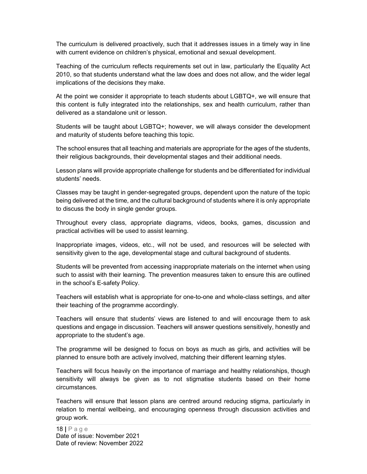The curriculum is delivered proactively, such that it addresses issues in a timely way in line with current evidence on children's physical, emotional and sexual development.

Teaching of the curriculum reflects requirements set out in law, particularly the Equality Act 2010, so that students understand what the law does and does not allow, and the wider legal implications of the decisions they make.

At the point we consider it appropriate to teach students about LGBTQ+, we will ensure that this content is fully integrated into the relationships, sex and health curriculum, rather than delivered as a standalone unit or lesson.

Students will be taught about LGBTQ+; however, we will always consider the development and maturity of students before teaching this topic.

The school ensures that all teaching and materials are appropriate for the ages of the students, their religious backgrounds, their developmental stages and their additional needs.

Lesson plans will provide appropriate challenge for students and be differentiated for individual students' needs.

Classes may be taught in gender-segregated groups, dependent upon the nature of the topic being delivered at the time, and the cultural background of students where it is only appropriate to discuss the body in single gender groups.

Throughout every class, appropriate diagrams, videos, books, games, discussion and practical activities will be used to assist learning.

Inappropriate images, videos, etc., will not be used, and resources will be selected with sensitivity given to the age, developmental stage and cultural background of students.

Students will be prevented from accessing inappropriate materials on the internet when using such to assist with their learning. The prevention measures taken to ensure this are outlined in the school's E-safety Policy.

Teachers will establish what is appropriate for one-to-one and whole-class settings, and alter their teaching of the programme accordingly.

Teachers will ensure that students' views are listened to and will encourage them to ask questions and engage in discussion. Teachers will answer questions sensitively, honestly and appropriate to the student's age.

The programme will be designed to focus on boys as much as girls, and activities will be planned to ensure both are actively involved, matching their different learning styles.

Teachers will focus heavily on the importance of marriage and healthy relationships, though sensitivity will always be given as to not stigmatise students based on their home circumstances.

Teachers will ensure that lesson plans are centred around reducing stigma, particularly in relation to mental wellbeing, and encouraging openness through discussion activities and group work.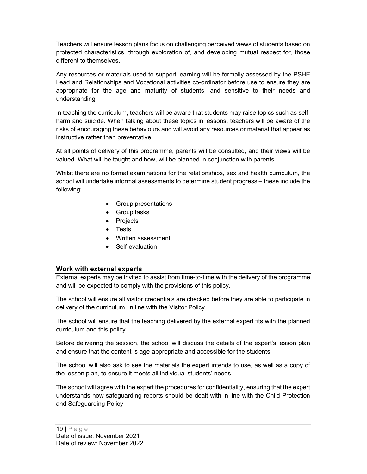Teachers will ensure lesson plans focus on challenging perceived views of students based on protected characteristics, through exploration of, and developing mutual respect for, those different to themselves.

Any resources or materials used to support learning will be formally assessed by the PSHE Lead and Relationships and Vocational activities co-ordinator before use to ensure they are appropriate for the age and maturity of students, and sensitive to their needs and understanding.

In teaching the curriculum, teachers will be aware that students may raise topics such as selfharm and suicide. When talking about these topics in lessons, teachers will be aware of the risks of encouraging these behaviours and will avoid any resources or material that appear as instructive rather than preventative.

At all points of delivery of this programme, parents will be consulted, and their views will be valued. What will be taught and how, will be planned in conjunction with parents.

Whilst there are no formal examinations for the relationships, sex and health curriculum, the school will undertake informal assessments to determine student progress – these include the following:

- Group presentations
- Group tasks
- Projects
- Tests
- Written assessment
- Self-evaluation

#### Work with external experts

External experts may be invited to assist from time-to-time with the delivery of the programme and will be expected to comply with the provisions of this policy.

The school will ensure all visitor credentials are checked before they are able to participate in delivery of the curriculum, in line with the Visitor Policy.

The school will ensure that the teaching delivered by the external expert fits with the planned curriculum and this policy.

Before delivering the session, the school will discuss the details of the expert's lesson plan and ensure that the content is age-appropriate and accessible for the students.

The school will also ask to see the materials the expert intends to use, as well as a copy of the lesson plan, to ensure it meets all individual students' needs.

The school will agree with the expert the procedures for confidentiality, ensuring that the expert understands how safeguarding reports should be dealt with in line with the Child Protection and Safeguarding Policy.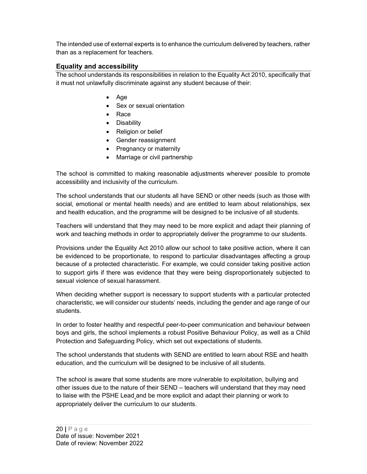The intended use of external experts is to enhance the curriculum delivered by teachers, rather than as a replacement for teachers.

## Equality and accessibility

The school understands its responsibilities in relation to the Equality Act 2010, specifically that it must not unlawfully discriminate against any student because of their:

- $\bullet$  Age
- Sex or sexual orientation
- Race
- Disability
- Religion or belief
- Gender reassignment
- Pregnancy or maternity
- Marriage or civil partnership

The school is committed to making reasonable adjustments wherever possible to promote accessibility and inclusivity of the curriculum.

The school understands that our students all have SEND or other needs (such as those with social, emotional or mental health needs) and are entitled to learn about relationships, sex and health education, and the programme will be designed to be inclusive of all students.

Teachers will understand that they may need to be more explicit and adapt their planning of work and teaching methods in order to appropriately deliver the programme to our students.

Provisions under the Equality Act 2010 allow our school to take positive action, where it can be evidenced to be proportionate, to respond to particular disadvantages affecting a group because of a protected characteristic. For example, we could consider taking positive action to support girls if there was evidence that they were being disproportionately subjected to sexual violence of sexual harassment.

When deciding whether support is necessary to support students with a particular protected characteristic, we will consider our students' needs, including the gender and age range of our students.

In order to foster healthy and respectful peer-to-peer communication and behaviour between boys and girls, the school implements a robust Positive Behaviour Policy, as well as a Child Protection and Safeguarding Policy, which set out expectations of students.

The school understands that students with SEND are entitled to learn about RSE and health education, and the curriculum will be designed to be inclusive of all students.

The school is aware that some students are more vulnerable to exploitation, bullying and other issues due to the nature of their SEND – teachers will understand that they may need to liaise with the PSHE Lead and be more explicit and adapt their planning or work to appropriately deliver the curriculum to our students.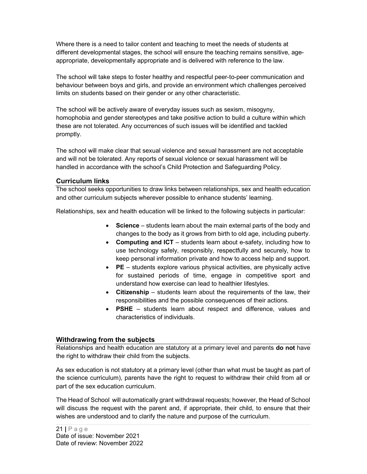Where there is a need to tailor content and teaching to meet the needs of students at different developmental stages, the school will ensure the teaching remains sensitive, ageappropriate, developmentally appropriate and is delivered with reference to the law.

The school will take steps to foster healthy and respectful peer-to-peer communication and behaviour between boys and girls, and provide an environment which challenges perceived limits on students based on their gender or any other characteristic.

The school will be actively aware of everyday issues such as sexism, misogyny, homophobia and gender stereotypes and take positive action to build a culture within which these are not tolerated. Any occurrences of such issues will be identified and tackled promptly.

The school will make clear that sexual violence and sexual harassment are not acceptable and will not be tolerated. Any reports of sexual violence or sexual harassment will be handled in accordance with the school's Child Protection and Safeguarding Policy.

## Curriculum links

The school seeks opportunities to draw links between relationships, sex and health education and other curriculum subjects wherever possible to enhance students' learning.

Relationships, sex and health education will be linked to the following subjects in particular:

- Science students learn about the main external parts of the body and changes to the body as it grows from birth to old age, including puberty.
- Computing and ICT students learn about e-safety, including how to use technology safely, responsibly, respectfully and securely, how to keep personal information private and how to access help and support.
- PE students explore various physical activities, are physically active for sustained periods of time, engage in competitive sport and understand how exercise can lead to healthier lifestyles.
- Citizenship students learn about the requirements of the law, their responsibilities and the possible consequences of their actions.
- PSHE students learn about respect and difference, values and characteristics of individuals.

## Withdrawing from the subjects

Relationships and health education are statutory at a primary level and parents **do not** have the right to withdraw their child from the subjects.

As sex education is not statutory at a primary level (other than what must be taught as part of the science curriculum), parents have the right to request to withdraw their child from all or part of the sex education curriculum.

The Head of School will automatically grant withdrawal requests; however, the Head of School will discuss the request with the parent and, if appropriate, their child, to ensure that their wishes are understood and to clarify the nature and purpose of the curriculum.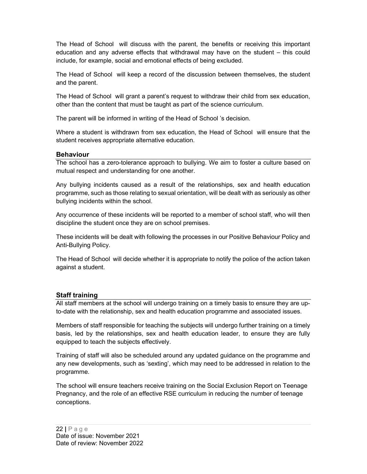The Head of School will discuss with the parent, the benefits or receiving this important education and any adverse effects that withdrawal may have on the student – this could include, for example, social and emotional effects of being excluded.

The Head of School will keep a record of the discussion between themselves, the student and the parent.

The Head of School will grant a parent's request to withdraw their child from sex education, other than the content that must be taught as part of the science curriculum.

The parent will be informed in writing of the Head of School 's decision.

Where a student is withdrawn from sex education, the Head of School will ensure that the student receives appropriate alternative education.

## Behaviour

The school has a zero-tolerance approach to bullying. We aim to foster a culture based on mutual respect and understanding for one another.

Any bullying incidents caused as a result of the relationships, sex and health education programme, such as those relating to sexual orientation, will be dealt with as seriously as other bullying incidents within the school.

Any occurrence of these incidents will be reported to a member of school staff, who will then discipline the student once they are on school premises.

These incidents will be dealt with following the processes in our Positive Behaviour Policy and Anti-Bullying Policy.

The Head of School will decide whether it is appropriate to notify the police of the action taken against a student.

## Staff training

All staff members at the school will undergo training on a timely basis to ensure they are upto-date with the relationship, sex and health education programme and associated issues.

Members of staff responsible for teaching the subjects will undergo further training on a timely basis, led by the relationships, sex and health education leader, to ensure they are fully equipped to teach the subjects effectively.

Training of staff will also be scheduled around any updated guidance on the programme and any new developments, such as 'sexting', which may need to be addressed in relation to the programme.

The school will ensure teachers receive training on the Social Exclusion Report on Teenage Pregnancy, and the role of an effective RSE curriculum in reducing the number of teenage conceptions.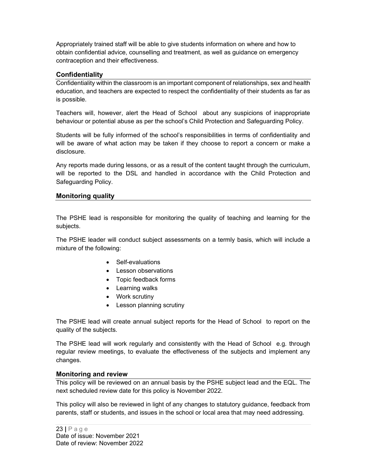Appropriately trained staff will be able to give students information on where and how to obtain confidential advice, counselling and treatment, as well as guidance on emergency contraception and their effectiveness.

## Confidentiality

Confidentiality within the classroom is an important component of relationships, sex and health education, and teachers are expected to respect the confidentiality of their students as far as is possible.

Teachers will, however, alert the Head of School about any suspicions of inappropriate behaviour or potential abuse as per the school's Child Protection and Safeguarding Policy.

Students will be fully informed of the school's responsibilities in terms of confidentiality and will be aware of what action may be taken if they choose to report a concern or make a disclosure.

Any reports made during lessons, or as a result of the content taught through the curriculum, will be reported to the DSL and handled in accordance with the Child Protection and Safeguarding Policy.

## Monitoring quality

The PSHE lead is responsible for monitoring the quality of teaching and learning for the subjects.

The PSHE leader will conduct subject assessments on a termly basis, which will include a mixture of the following:

- Self-evaluations
- Lesson observations
- Topic feedback forms
- Learning walks
- Work scrutiny
- Lesson planning scrutiny

The PSHE lead will create annual subject reports for the Head of School to report on the quality of the subjects.

The PSHE lead will work regularly and consistently with the Head of School e.g. through regular review meetings, to evaluate the effectiveness of the subjects and implement any changes.

#### Monitoring and review

This policy will be reviewed on an annual basis by the PSHE subject lead and the EQL. The next scheduled review date for this policy is November 2022.

This policy will also be reviewed in light of any changes to statutory guidance, feedback from parents, staff or students, and issues in the school or local area that may need addressing.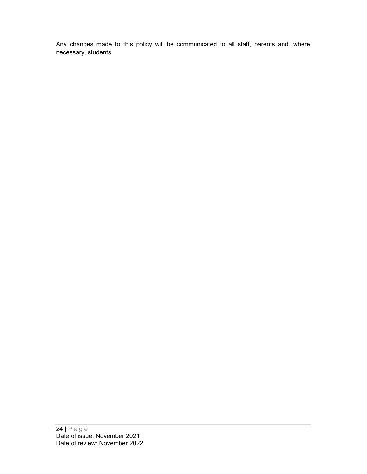Any changes made to this policy will be communicated to all staff, parents and, where necessary, students.